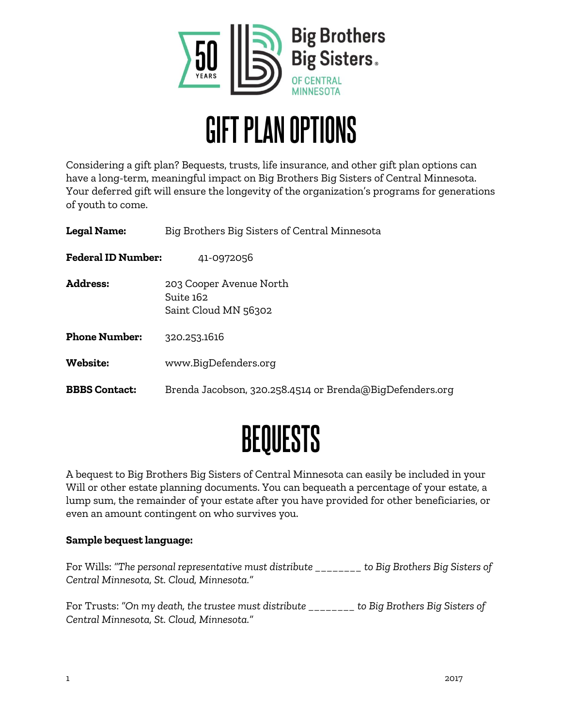

### **GIFT PLAN OPTIONS**

Considering a gift plan? Bequests, trusts, life insurance, and other gift plan options can have a long-term, meaningful impact on Big Brothers Big Sisters of Central Minnesota. Your deferred gift will ensure the longevity of the organization's programs for generations of youth to come.

| Big Brothers Big Sisters of Central Minnesota                |
|--------------------------------------------------------------|
| 41-0972056                                                   |
| 203 Cooper Avenue North<br>Suite 162<br>Saint Cloud MN 56302 |
| 320.253.1616                                                 |
| www.BigDefenders.org                                         |
| Brenda Jacobson, 320.258.4514 or Brenda@BigDefenders.org     |
|                                                              |

## BEQUESTS

A bequest to Big Brothers Big Sisters of Central Minnesota can easily be included in your Will or other estate planning documents. You can bequeath a percentage of your estate, a lump sum, the remainder of your estate after you have provided for other beneficiaries, or even an amount contingent on who survives you.

#### **Sample bequest language:**

For Wills: *"The personal representative must distribute \_\_\_\_\_\_\_\_ to Big Brothers Big Sisters of Central Minnesota, St. Cloud, Minnesota."* 

For Trusts: *"On my death, the trustee must distribute \_\_\_\_\_\_\_\_ to Big Brothers Big Sisters of Central Minnesota, St. Cloud, Minnesota."*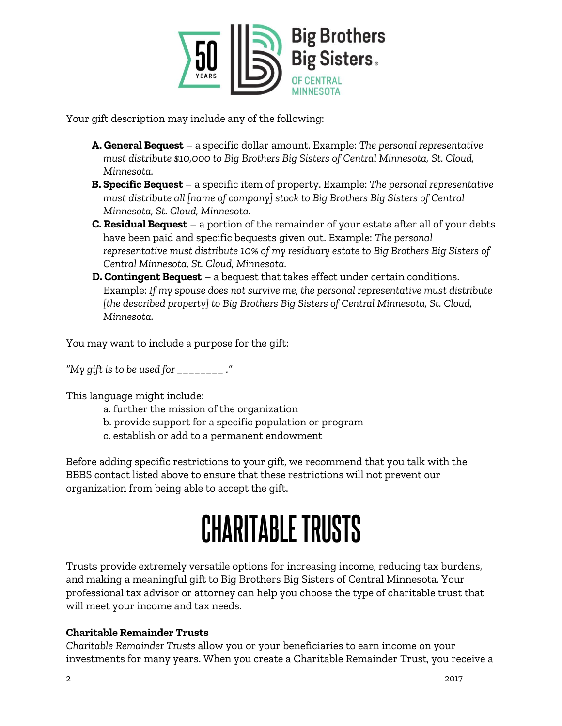

Your gift description may include any of the following:

- **A. General Bequest**  a specific dollar amount. Example: *The personal representative must distribute \$10,000 to Big Brothers Big Sisters of Central Minnesota, St. Cloud, Minnesota.*
- **B. Specific Bequest**  a specific item of property. Example: *The personal representative must distribute all [name of company] stock to Big Brothers Big Sisters of Central Minnesota, St. Cloud, Minnesota.*
- **C. Residual Bequest** a portion of the remainder of your estate after all of your debts have been paid and specific bequests given out. Example: *The personal representative must distribute 10% of my residuary estate to Big Brothers Big Sisters of Central Minnesota, St. Cloud, Minnesota.*
- **D. Contingent Bequest** a bequest that takes effect under certain conditions. Example: *If my spouse does not survive me, the personal representative must distribute [the described property] to Big Brothers Big Sisters of Central Minnesota, St. Cloud, Minnesota.*

You may want to include a purpose for the gift:

*"My gift is to be used for \_\_\_\_\_\_\_\_ ."*

This language might include:

- a. further the mission of the organization
- b. provide support for a specific population or program
- c. establish or add to a permanent endowment

Before adding specific restrictions to your gift, we recommend that you talk with the BBBS contact listed above to ensure that these restrictions will not prevent our organization from being able to accept the gift.

# **CHARITABLE TRUSTS**

Trusts provide extremely versatile options for increasing income, reducing tax burdens, and making a meaningful gift to Big Brothers Big Sisters of Central Minnesota. Your professional tax advisor or attorney can help you choose the type of charitable trust that will meet your income and tax needs.

#### **Charitable Remainder Trusts**

*Charitable Remainder Trusts* allow you or your beneficiaries to earn income on your investments for many years. When you create a Charitable Remainder Trust, you receive a